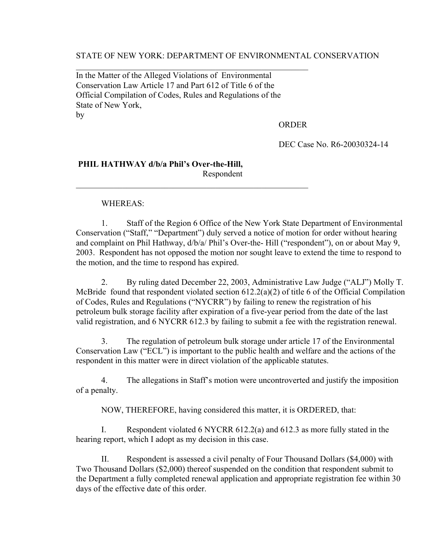STATE OF NEW YORK: DEPARTMENT OF ENVIRONMENTAL CONSERVATION

In the Matter of the Alleged Violations of Environmental Conservation Law Article 17 and Part 612 of Title 6 of the Official Compilation of Codes, Rules and Regulations of the State of New York, by

 $\mathcal{L}_\text{max}$  , and the contract of the contract of the contract of the contract of the contract of the contract of

 $\mathcal{L}_\text{max}$  , and the contract of the contract of the contract of the contract of the contract of the contract of

ORDER

DEC Case No. R6-20030324-14

# **PHIL HATHWAY d/b/a Phil's Over-the-Hill,** Respondent

# WHEREAS:

1. Staff of the Region 6 Office of the New York State Department of Environmental Conservation ("Staff," "Department") duly served a notice of motion for order without hearing and complaint on Phil Hathway, d/b/a/ Phil's Over-the- Hill ("respondent"), on or about May 9, 2003. Respondent has not opposed the motion nor sought leave to extend the time to respond to the motion, and the time to respond has expired.

2. By ruling dated December 22, 2003, Administrative Law Judge ("ALJ") Molly T. McBride found that respondent violated section 612.2(a)(2) of title 6 of the Official Compilation of Codes, Rules and Regulations ("NYCRR") by failing to renew the registration of his petroleum bulk storage facility after expiration of a five-year period from the date of the last valid registration, and 6 NYCRR 612.3 by failing to submit a fee with the registration renewal.

3. The regulation of petroleum bulk storage under article 17 of the Environmental Conservation Law ("ECL") is important to the public health and welfare and the actions of the respondent in this matter were in direct violation of the applicable statutes.

4. The allegations in Staff's motion were uncontroverted and justify the imposition of a penalty.

NOW, THEREFORE, having considered this matter, it is ORDERED, that:

I. Respondent violated 6 NYCRR 612.2(a) and 612.3 as more fully stated in the hearing report, which I adopt as my decision in this case.

II. Respondent is assessed a civil penalty of Four Thousand Dollars (\$4,000) with Two Thousand Dollars (\$2,000) thereof suspended on the condition that respondent submit to the Department a fully completed renewal application and appropriate registration fee within 30 days of the effective date of this order.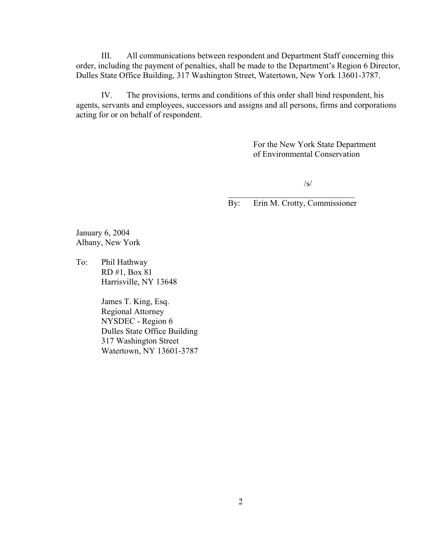III. All communications between respondent and Department Staff concerning this order, including the payment of penalties, shall be made to the Department's Region 6 Director, Dulles State Office Building, 317 Washington Street, Watertown, New York 13601-3787.

IV. The provisions, terms and conditions of this order shall bind respondent, his agents, servants and employees, successors and assigns and all persons, firms and corporations acting for or on behalf of respondent.

> For the New York State Department of Environmental Conservation

> > /s/

 $\mathcal{L}_\text{max}$  , where  $\mathcal{L}_\text{max}$  and  $\mathcal{L}_\text{max}$  and  $\mathcal{L}_\text{max}$ By: Erin M. Crotty, Commissioner

January 6, 2004 Albany, New York

To: Phil Hathway RD #1, Box 81 Harrisville, NY 13648

> James T. King, Esq. Regional Attorney NYSDEC - Region 6 Dulles State Office Building 317 Washington Street Watertown, NY 13601-3787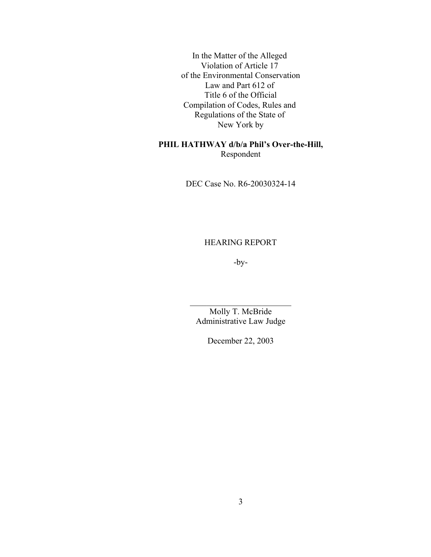In the Matter of the Alleged Violation of Article 17 of the Environmental Conservation Law and Part 612 of Title 6 of the Official Compilation of Codes, Rules and Regulations of the State of New York by

# **PHIL HATHWAY d/b/a Phil's Over-the-Hill,** Respondent

DEC Case No. R6-20030324-14

HEARING REPORT

-by-

Molly T. McBride Administrative Law Judge

 $\mathcal{L}_\text{max}$  , where  $\mathcal{L}_\text{max}$  , we have the set of  $\mathcal{L}_\text{max}$ 

December 22, 2003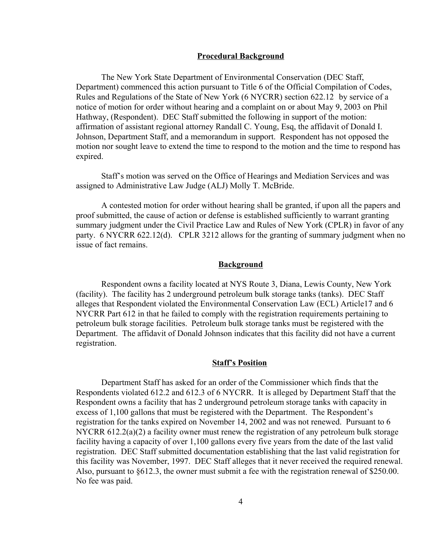### **Procedural Background**

The New York State Department of Environmental Conservation (DEC Staff, Department) commenced this action pursuant to Title 6 of the Official Compilation of Codes, Rules and Regulations of the State of New York (6 NYCRR) section 622.12 by service of a notice of motion for order without hearing and a complaint on or about May 9, 2003 on Phil Hathway, (Respondent). DEC Staff submitted the following in support of the motion: affirmation of assistant regional attorney Randall C. Young, Esq, the affidavit of Donald I. Johnson, Department Staff, and a memorandum in support. Respondent has not opposed the motion nor sought leave to extend the time to respond to the motion and the time to respond has expired.

Staff's motion was served on the Office of Hearings and Mediation Services and was assigned to Administrative Law Judge (ALJ) Molly T. McBride.

A contested motion for order without hearing shall be granted, if upon all the papers and proof submitted, the cause of action or defense is established sufficiently to warrant granting summary judgment under the Civil Practice Law and Rules of New York (CPLR) in favor of any party. 6 NYCRR 622.12(d). CPLR 3212 allows for the granting of summary judgment when no issue of fact remains.

# **Background**

Respondent owns a facility located at NYS Route 3, Diana, Lewis County, New York (facility). The facility has 2 underground petroleum bulk storage tanks (tanks). DEC Staff alleges that Respondent violated the Environmental Conservation Law (ECL) Article17 and 6 NYCRR Part 612 in that he failed to comply with the registration requirements pertaining to petroleum bulk storage facilities. Petroleum bulk storage tanks must be registered with the Department. The affidavit of Donald Johnson indicates that this facility did not have a current registration.

#### **Staff's Position**

Department Staff has asked for an order of the Commissioner which finds that the Respondents violated 612.2 and 612.3 of 6 NYCRR. It is alleged by Department Staff that the Respondent owns a facility that has 2 underground petroleum storage tanks with capacity in excess of 1,100 gallons that must be registered with the Department. The Respondent's registration for the tanks expired on November 14, 2002 and was not renewed. Pursuant to 6 NYCRR 612.2(a)(2) a facility owner must renew the registration of any petroleum bulk storage facility having a capacity of over 1,100 gallons every five years from the date of the last valid registration. DEC Staff submitted documentation establishing that the last valid registration for this facility was November, 1997. DEC Staff alleges that it never received the required renewal. Also, pursuant to §612.3, the owner must submit a fee with the registration renewal of \$250.00. No fee was paid.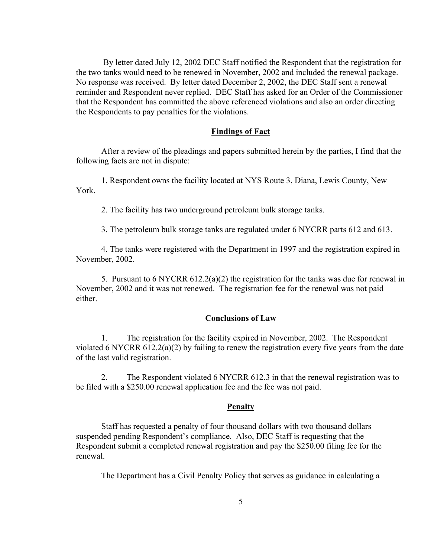By letter dated July 12, 2002 DEC Staff notified the Respondent that the registration for the two tanks would need to be renewed in November, 2002 and included the renewal package. No response was received. By letter dated December 2, 2002, the DEC Staff sent a renewal reminder and Respondent never replied. DEC Staff has asked for an Order of the Commissioner that the Respondent has committed the above referenced violations and also an order directing the Respondents to pay penalties for the violations.

### **Findings of Fact**

After a review of the pleadings and papers submitted herein by the parties, I find that the following facts are not in dispute:

1. Respondent owns the facility located at NYS Route 3, Diana, Lewis County, New York.

2. The facility has two underground petroleum bulk storage tanks.

3. The petroleum bulk storage tanks are regulated under 6 NYCRR parts 612 and 613.

4. The tanks were registered with the Department in 1997 and the registration expired in November, 2002.

5. Pursuant to 6 NYCRR  $612.2(a)(2)$  the registration for the tanks was due for renewal in November, 2002 and it was not renewed. The registration fee for the renewal was not paid either.

# **Conclusions of Law**

1. The registration for the facility expired in November, 2002. The Respondent violated 6 NYCRR 612.2(a)(2) by failing to renew the registration every five years from the date of the last valid registration.

2. The Respondent violated 6 NYCRR 612.3 in that the renewal registration was to be filed with a \$250.00 renewal application fee and the fee was not paid.

#### **Penalty**

Staff has requested a penalty of four thousand dollars with two thousand dollars suspended pending Respondent's compliance. Also, DEC Staff is requesting that the Respondent submit a completed renewal registration and pay the \$250.00 filing fee for the renewal.

The Department has a Civil Penalty Policy that serves as guidance in calculating a